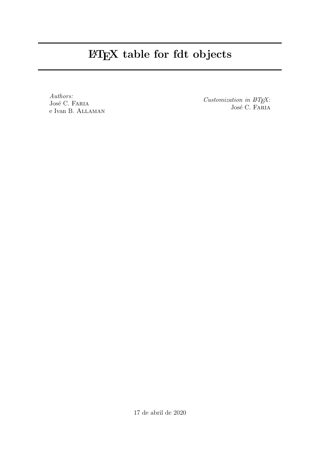## LATEX table for fdt objects

Authors: José C. Faria e Ivan B. Allaman

Customization in  $\mu T_F X$ : José C. FARIA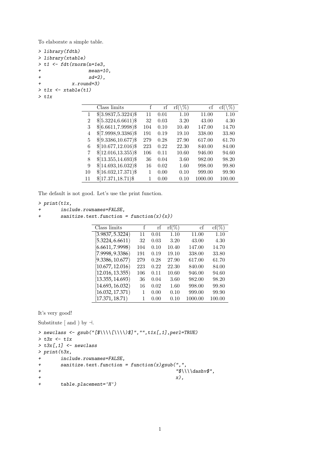To elaborate a simple table.

```
> library(fdth)
> library(xtable)
> t1 <- fdt(rnorm(n=1e3,
+ mean=10,
+ sd=2),
+ x.round=3)
> t1x \leftarrow xtable(t1)
> t1x
```

|    | Class limits            | f   | rf   | $\mathrm{rf}(\setminus\%)$ | сf      | $cf(\langle \% \rangle$ |
|----|-------------------------|-----|------|----------------------------|---------|-------------------------|
|    | $$[3.9837,5.3224)$ \$   | 11  | 0.01 | 1.10                       | 11.00   | 1.10                    |
| 2  | $$[5.3224, 6.6611)$ \$  | 32  | 0.03 | 3.20                       | 43.00   | 4.30                    |
| 3  | $$[6.6611, 7.9998)$ \$  | 104 | 0.10 | 10.40                      | 147.00  | 14.70                   |
| 4  | $[7.9998, 9.3386)$ \$   | 191 | 0.19 | 19.10                      | 338.00  | 33.80                   |
| 5  | $$[9.3386, 10.677)$ \$  | 279 | 0.28 | 27.90                      | 617.00  | 61.70                   |
| 6  | $$[10.677, 12.016)$ \$  | 223 | 0.22 | 22.30                      | 840.00  | 84.00                   |
| 7  | $$[12.016, 13.355)$ \$  | 106 | 0.11 | 10.60                      | 946.00  | 94.60                   |
| 8  | $$[13.355, 14.693)$ \$  | 36  | 0.04 | 3.60                       | 982.00  | 98.20                   |
| 9  | $$[14.693, 16.032)$$ \$ | 16  | 0.02 | 1.60                       | 998.00  | 99.80                   |
| 10 | $$[16.032, 17.371)$ \$  | 1   | 0.00 | 0.10                       | 999.00  | 99.90                   |
| 11 | $$[17.371, 18.71)$ \$   |     | 0.00 | 0.10                       | 1000.00 | 100.00                  |

The default is not good. Let's use the print function.

## $> print(t1x,$

- + include.rownames=FALSE,
- + sanitize.text.function =  $function(x){x}$ )

| Class limits     | f   | rf   | $\mathrm{rf}(\%)$ | сf      | $cf(\%)$ |
|------------------|-----|------|-------------------|---------|----------|
| [3.9837, 5.3224] | 11  | 0.01 | 1.10              | 11.00   | 1.10     |
| [5.3224, 6.6611] | 32  | 0.03 | 3.20              | 43.00   | 4.30     |
| [6.6611, 7.9998] | 104 | 0.10 | 10.40             | 147.00  | 14.70    |
| (7.9998, 9.3386) | 191 | 0.19 | 19.10             | 338.00  | 33.80    |
| [9.3386, 10.677] | 279 | 0.28 | 27.90             | 617.00  | 61.70    |
| [10.677, 12.016] | 223 | 0.22 | 22.30             | 840.00  | 84.00    |
| [12.016, 13.355] | 106 | 0.11 | 10.60             | 946.00  | 94.60    |
| [13.355, 14.693] | 36  | 0.04 | 3.60              | 982.00  | 98.20    |
| [14.693, 16.032] | 16  | 0.02 | 1.60              | 998.00  | 99.80    |
| [16.032, 17.371] | 1   | 0.00 | 0.10              | 999.00  | 99.90    |
| [17.371, 18.71)  | 1   | 0.00 | 0.10              | 1000.00 | 100.00   |

It's very good!

Substitute [ and ) by  $\dashv\!\!\!$  .

```
> newclass <- gsub("[$\\\\[\\\\)$]","",t1x[,1],perl=TRUE)
> t3x \leftarrow t1x
> t3x[,1] <- newclass
> print (t3x,
+ include.rownames=FALSE,
+ sanitize.text.function = function(x)gsub(",",
+ "$\\\\dashv$",
+ x),
+ table.placement='H')
```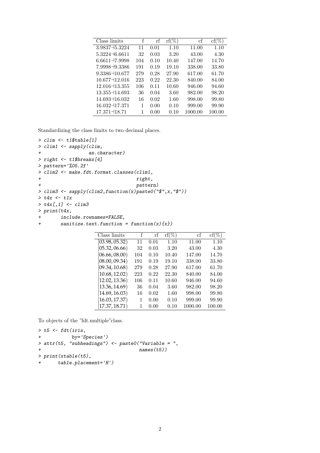| Class limits      | f   | rf   | $\mathrm{rf}(\%)$ | cf      | $cf(\%)$ |
|-------------------|-----|------|-------------------|---------|----------|
| $3.9837 - 5.3224$ | 11  | 0.01 | 1.10              | 11.00   | 1.10     |
| $5.3224 - 6.6611$ | 32  | 0.03 | 3.20              | 43.00   | 4.30     |
| $6.6611 - 7.9998$ | 104 | 0.10 | 10.40             | 147.00  | 14.70    |
| 7.9998-9.3386     | 191 | 0.19 | 19.10             | 338.00  | 33.80    |
| $9.3386 - 10.677$ | 279 | 0.28 | 27.90             | 617.00  | 61.70    |
| $10.677 - 12.016$ | 223 | 0.22 | 22.30             | 840.00  | 84.00    |
| $12.016 - 13.355$ | 106 | 0.11 | 10.60             | 946.00  | 94.60    |
| $13.355 - 14.693$ | 36  | 0.04 | 3.60              | 982.00  | 98.20    |
| 14.693 - 16.032   | 16  | 0.02 | 1.60              | 998.00  | 99.80    |
| 16.032-17.371     | 1   | 0.00 | 0.10              | 999.00  | 99.90    |
| 17.371 - 18.71    | 1   | 0.00 | 0.10              | 1000.00 | 100.00   |

Standardizing the class limits to two decimal places.

```
> clim <- t1$table[1]
> clim1 <- sapply(clim,
+ as.character)
> right <- t1$breaks[4]
> pattern='%05.2f'
> clim2 <- make.fdt.format.classes(clim1,
+ right,
+ pattern)
> clim3 \leftarrow sapply(clim2, function(x) paste0("$", x, "$")> t4x < - t1x> t4x[,1] < - \text{clim}3> print(t4x,+ include.rownames=FALSE,
+ sanitize.text.function = function(x){x})
```

| Class limits               | f   | rf   | $\mathrm{rf}(\%)$ | сf      | $cf(\%)$ |
|----------------------------|-----|------|-------------------|---------|----------|
| [03.98, 05.32)             | 11  | 0.01 | 1.10              | 11.00   | 1.10     |
| [05.32, 06.66]             | 32  | 0.03 | 3.20              | 43.00   | 4.30     |
| [06.66, 08.00)             | 104 | 0.10 | 10.40             | 147.00  | 14.70    |
| [08.00, 09.34)             | 191 | 0.19 | 19.10             | 338.00  | 33.80    |
| [09.34, 10.68)             | 279 | 0.28 | 27.90             | 617.00  | 61.70    |
| [10.68, 12.02]             | 223 | 0.22 | 22.30             | 840.00  | 84.00    |
| [12.02, 13.36]             | 106 | 0.11 | 10.60             | 946.00  | 94.60    |
| [13.36, 14.69]             | 36  | 0.04 | 3.60              | 982.00  | 98.20    |
| [14.69, 16.03]             | 16  | 0.02 | 1.60              | 998.00  | 99.80    |
| [16.03, 17.37)             | 1   | 0.00 | 0.10              | 999.00  | 99.90    |
| $\left[17.37,18.71\right]$ |     | 0.00 | 0.10              | 1000.00 | 100.00   |

To objects of the "fdt.multiple"class.

```
> t5 < - fdt(iris,+ by='Species')
> attr(t5, "subheadings") \leq paste0("Variable = ",
+ names(t5))
> print(xtable(t5),
+ table.placement='H')
```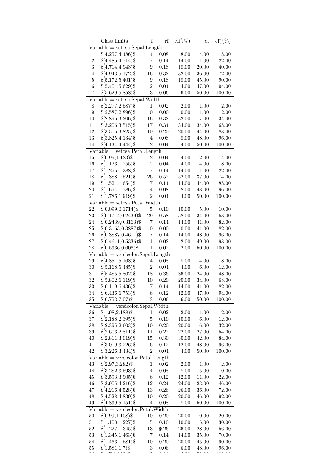| $Variable = setosa.Sepal.Length$<br>$$[4.257, 4.486)$ \$<br>0.08<br>8.00<br>4.00<br>8.00<br>4<br>1<br>$\overline{2}$<br>$\overline{7}$<br>14.00<br>11.00<br>$$[4.486, 4.714)$ \$<br>0.14<br>22.00<br>$\overline{3}$<br>$$[4.714, 4.943)$ \$<br>$\boldsymbol{9}$<br>$0.18\,$<br>18.00<br>$20.00\,$<br>40.00<br>$$[4.943, 5.172)$ \$<br>$0.32\,$<br>32.00<br>36.00<br>72.00<br>$\overline{4}$<br>16<br>$\bf 5$<br>$$[5.172, 5.401)$ \$<br>$0.18\,$<br>45.00<br>9<br>18.00<br>90.00<br>$\boldsymbol{6}$<br>$$[5.401, 5.629)$ \$<br>$\overline{2}$<br>$0.04\,$<br>4.00<br>47.00<br>94.00<br>3<br>$\overline{7}$<br>$$[5.629, 5.858)$ \$<br>$0.06\,$<br>6.00<br>$50.00\,$<br>100.00<br>$Variable = setosa.Sepal.Width$<br>$$[2.277, 2.587)$ \$<br>0.02<br>$\mathbf 1$<br>2.00<br>1.00<br>2.00<br>8<br>$\overline{0}$<br>$\boldsymbol{9}$<br>$$[2.587, 2.896)$ \$<br>$0.00\,$<br>$0.00\,$<br>$1.00\,$<br>$2.00\,$<br>$$[2.896, 3.206)$ \$<br>32.00<br>17.00<br>10<br>16<br>0.32<br>34.00<br>$$[3.206, 3.515)$ \$<br>17<br>$0.34\,$<br>34.00<br>11<br>34.00<br>68.00<br>12<br>$$[3.515, 3.825)$ \$<br>$0.20\,$<br>44.00<br>10<br>20.00<br>88.00<br>13<br>$$[3.825, 4.134)$ \$<br>48.00<br>96.00<br>$\overline{4}$<br>0.08<br>8.00<br>14<br>\$[4.134, 4.444]<br>$\overline{2}$<br>$0.04\,$<br>100.00<br>4.00<br>50.00<br>$\overline{\text{Variable}} = \text{setosa.Petal.Length}$<br>$$[0.99, 1.123)$ \$<br>0.04<br>15<br>$\overline{2}$<br>4.00<br>$2.00\,$<br>4.00<br>$\overline{2}$<br>16<br>$$[1.123, 1.255)$ \$<br>$0.04\,$<br>4.00<br>$4.00\,$<br>8.00<br>$\overline{7}$<br>$17\,$<br>$$[1.255, 1.388)$ \$<br>$0.14\,$<br>11.00<br>22.00<br>14.00<br>18<br>$$[1.388, 1.521)$ \$<br>37.00<br>26<br>0.52<br>52.00<br>74.00<br>19<br>$$[1.521, 1.654)$ \$<br>$0.14\,$<br>7<br>14.00<br>44.00<br>88.00<br>20<br>$$[1.654, 1.786)$ \$<br>$\overline{4}$<br>48.00<br>96.00<br>0.08<br>8.00<br>$21\,$<br>$$[1.786, 1.919)$ \$<br>$\overline{2}$<br>$0.04\,$<br>$50.00\,$<br>100.00<br>4.00<br>$Variable = setosa.Petal.Width$<br>22<br>$$[0.099, 0.1714)$ \$<br>$0.10\,$<br>5<br>10.00<br>5.00<br>10.00<br>23<br>$$[0.1714, 0.2439)$ \$<br>$\,29$<br>58.00<br>34.00<br>68.00<br>$0.58\,$<br>$$[0.2439, 0.3163)$ \$<br>24<br>$0.14\,$<br>7<br>14.00<br>41.00<br>82.00<br>25<br>$$[0.3163, 0.3887)$ \$<br>$\boldsymbol{0}$<br>$0.00\,$<br>41.00<br>0.00<br>82.00<br>${\bf 26}$<br>$$[0.3887, 0.4611)$ \$<br>$\overline{7}$<br>$0.14\,$<br>48.00<br>96.00<br>14.00<br>$27\,$<br>$$[0.4611, 0.5336)$ \$<br>$\mathbf{1}$<br>$0.02\,$<br>2.00<br>49.00<br>98.00<br>28<br>$$[0.5336, 0.606)$ \$<br>$\mathbf 1$<br>100.00<br>$0.02\,$<br>$2.00\,$<br>50.00<br>$Variable = version. Sepal.Length$<br>$\,29$<br>$$[4.851,5.168)$ \$<br>$\overline{4}$<br>0.08<br>8.00<br>4.00<br>8.00<br>$\overline{2}$<br>$30\,$<br>$$[5.168, 5.485)$ \$<br>$0.04\,$<br>4.00<br>$6.00\,$<br>12.00<br>31<br>$$[5.485, 5.802)$ \$<br>18<br>$0.36\,$<br>36.00<br>24.00<br>48.00<br>32<br>$$[5.802, 6.119)$ \$<br>10<br>0.20<br>20.00<br>34.00<br>68.00<br>$33\,$<br>$$[6.119, 6.436)$ \$<br>82.00<br>7<br>0.14<br>14.00<br>41.00<br>$\overline{6}$<br>34<br>$$[6.436, 6.753)$ \$<br>0.12<br>12.00<br>47.00<br>94.00<br>3<br>$35\,$<br>$$[6.753, 7.07)$ \$<br>$0.06\,$<br>50.00<br>100.00<br>6.00<br>$Variable = version. Sepal. Width$<br>$36\,$<br>$$[1.98, 2.188)$ \$<br>$\mathbf{1}$<br>0.02<br>2.00<br>1.00<br>2.00<br>$37\,$<br>$\bf 5$<br>$$[2.188, 2.395)$ \$<br>$0.10\,$<br>$6.00\,$<br>12.00<br>10.00<br>$38\,$<br>\$[2.395, 2.603)\$<br>$10\,$<br>20.00<br>16.00<br>32.00<br>0.20<br>$39\,$<br>$$[2.603, 2.811)$ \$<br>11<br>0.22<br>22.00<br>27.00<br>54.00<br>40<br>$$[2.811, 3.019)$ \$<br>$0.30\,$<br>30.00<br>15<br>42.00<br>84.00<br>41<br>$$[3.019, 3.226)$ \$<br>$0.12\,$<br>48.00<br>96.00<br>6<br>12.00<br>42<br>$$[3.226, 3.434)$ \$<br>$\overline{2}$<br>$0.04\,$<br>50.00<br>100.00<br>4.00<br>$Variable = version. Petal. Length$<br>$43\,$<br>\$[2.97,3.282)\$<br>$0.02\,$<br>$\mathbf{1}$<br>2.00<br>1.00<br>2.00<br>44<br>$$[3.282, 3.593)$ \$<br>$\,4\,$<br>$0.08\,$<br>8.00<br>5.00<br>10.00<br>$45\,$<br>$$[3.593, 3.905)$ \$<br>$\,6$<br>0.12<br>12.00<br>11.00<br>22.00<br>46<br>$$[3.905, 4.216)$ \$<br>12<br>$0.24\,$<br>46.00<br>24.00<br>23.00<br>47<br>$$[4.216, 4.528)$ \$<br>13<br>$0.26\,$<br>36.00<br>26.00<br>72.00<br>48<br>$10\,$<br>$0.20\,$<br>20.00<br>46.00<br>92.00<br>$$[4.528, 4.839)$ \$<br>$$[4.839, 5.151)$ \$<br>50.00<br>100.00<br>49<br>$\overline{4}$<br>$0.08\,$<br>8.00<br>$Variable = versionor.Petal.Width$<br>50<br>$$[0.99, 1.108)$ \$<br>$0.20\,$<br>10<br>20.00<br>10.00<br>20.00<br>51<br>$$[1.108, 1.227)$ \$<br>5<br>0.10<br>10.00<br>15.00<br>30.00<br>52<br>$$[1.227, 1.345)$ \$<br>13<br>0.26<br>26.00<br>28.00<br>56.00<br>$53\,$<br>$$[1.345, 1.463)$ \$<br>7<br>0.14<br>14.00<br>35.00<br>70.00<br>54<br>$$[1.463, 1.581)$ \$<br>10<br>0.20<br>20.00<br>45.00<br>90.00<br>55<br>$$[1.581, 1.7)$ \$<br>3<br>0.06<br>6.00<br>48.00<br>96.00 | Class limits | $\overline{f}$ | rf | $\overline{\mathrm{rf}(\backslash\%)}$ | cf | $\overline{\%})$<br>$cf(\setminus$ |
|----------------------------------------------------------------------------------------------------------------------------------------------------------------------------------------------------------------------------------------------------------------------------------------------------------------------------------------------------------------------------------------------------------------------------------------------------------------------------------------------------------------------------------------------------------------------------------------------------------------------------------------------------------------------------------------------------------------------------------------------------------------------------------------------------------------------------------------------------------------------------------------------------------------------------------------------------------------------------------------------------------------------------------------------------------------------------------------------------------------------------------------------------------------------------------------------------------------------------------------------------------------------------------------------------------------------------------------------------------------------------------------------------------------------------------------------------------------------------------------------------------------------------------------------------------------------------------------------------------------------------------------------------------------------------------------------------------------------------------------------------------------------------------------------------------------------------------------------------------------------------------------------------------------------------------------------------------------------------------------------------------------------------------------------------------------------------------------------------------------------------------------------------------------------------------------------------------------------------------------------------------------------------------------------------------------------------------------------------------------------------------------------------------------------------------------------------------------------------------------------------------------------------------------------------------------------------------------------------------------------------------------------------------------------------------------------------------------------------------------------------------------------------------------------------------------------------------------------------------------------------------------------------------------------------------------------------------------------------------------------------------------------------------------------------------------------------------------------------------------------------------------------------------------------------------------------------------------------------------------------------------------------------------------------------------------------------------------------------------------------------------------------------------------------------------------------------------------------------------------------------------------------------------------------------------------------------------------------------------------------------------------------------------------------------------------------------------------------------------------------------------------------------------------------------------------------------------------------------------------------------------------------------------------------------------------------------------------------------------------------------------------------------------------------------------------------------------------------------------------------------------------------------------------------------------------------------------------------------------------------------------------------------------------------------------------------------------------------------------------------------------------------------------------------------------------------------------------------------------------------------------------------------------------------------------------------------------------------------------------------------------------------------------------------------------------------------------------------------------------------------------------------------------------------------------------------------------------------------------------------------------------------------------------------------------------------------------------------------------|--------------|----------------|----|----------------------------------------|----|------------------------------------|
|                                                                                                                                                                                                                                                                                                                                                                                                                                                                                                                                                                                                                                                                                                                                                                                                                                                                                                                                                                                                                                                                                                                                                                                                                                                                                                                                                                                                                                                                                                                                                                                                                                                                                                                                                                                                                                                                                                                                                                                                                                                                                                                                                                                                                                                                                                                                                                                                                                                                                                                                                                                                                                                                                                                                                                                                                                                                                                                                                                                                                                                                                                                                                                                                                                                                                                                                                                                                                                                                                                                                                                                                                                                                                                                                                                                                                                                                                                                                                                                                                                                                                                                                                                                                                                                                                                                                                                                                                                                                                                                                                                                                                                                                                                                                                                                                                                                                                                                                                                                  |              |                |    |                                        |    |                                    |
|                                                                                                                                                                                                                                                                                                                                                                                                                                                                                                                                                                                                                                                                                                                                                                                                                                                                                                                                                                                                                                                                                                                                                                                                                                                                                                                                                                                                                                                                                                                                                                                                                                                                                                                                                                                                                                                                                                                                                                                                                                                                                                                                                                                                                                                                                                                                                                                                                                                                                                                                                                                                                                                                                                                                                                                                                                                                                                                                                                                                                                                                                                                                                                                                                                                                                                                                                                                                                                                                                                                                                                                                                                                                                                                                                                                                                                                                                                                                                                                                                                                                                                                                                                                                                                                                                                                                                                                                                                                                                                                                                                                                                                                                                                                                                                                                                                                                                                                                                                                  |              |                |    |                                        |    |                                    |
|                                                                                                                                                                                                                                                                                                                                                                                                                                                                                                                                                                                                                                                                                                                                                                                                                                                                                                                                                                                                                                                                                                                                                                                                                                                                                                                                                                                                                                                                                                                                                                                                                                                                                                                                                                                                                                                                                                                                                                                                                                                                                                                                                                                                                                                                                                                                                                                                                                                                                                                                                                                                                                                                                                                                                                                                                                                                                                                                                                                                                                                                                                                                                                                                                                                                                                                                                                                                                                                                                                                                                                                                                                                                                                                                                                                                                                                                                                                                                                                                                                                                                                                                                                                                                                                                                                                                                                                                                                                                                                                                                                                                                                                                                                                                                                                                                                                                                                                                                                                  |              |                |    |                                        |    |                                    |
|                                                                                                                                                                                                                                                                                                                                                                                                                                                                                                                                                                                                                                                                                                                                                                                                                                                                                                                                                                                                                                                                                                                                                                                                                                                                                                                                                                                                                                                                                                                                                                                                                                                                                                                                                                                                                                                                                                                                                                                                                                                                                                                                                                                                                                                                                                                                                                                                                                                                                                                                                                                                                                                                                                                                                                                                                                                                                                                                                                                                                                                                                                                                                                                                                                                                                                                                                                                                                                                                                                                                                                                                                                                                                                                                                                                                                                                                                                                                                                                                                                                                                                                                                                                                                                                                                                                                                                                                                                                                                                                                                                                                                                                                                                                                                                                                                                                                                                                                                                                  |              |                |    |                                        |    |                                    |
|                                                                                                                                                                                                                                                                                                                                                                                                                                                                                                                                                                                                                                                                                                                                                                                                                                                                                                                                                                                                                                                                                                                                                                                                                                                                                                                                                                                                                                                                                                                                                                                                                                                                                                                                                                                                                                                                                                                                                                                                                                                                                                                                                                                                                                                                                                                                                                                                                                                                                                                                                                                                                                                                                                                                                                                                                                                                                                                                                                                                                                                                                                                                                                                                                                                                                                                                                                                                                                                                                                                                                                                                                                                                                                                                                                                                                                                                                                                                                                                                                                                                                                                                                                                                                                                                                                                                                                                                                                                                                                                                                                                                                                                                                                                                                                                                                                                                                                                                                                                  |              |                |    |                                        |    |                                    |
|                                                                                                                                                                                                                                                                                                                                                                                                                                                                                                                                                                                                                                                                                                                                                                                                                                                                                                                                                                                                                                                                                                                                                                                                                                                                                                                                                                                                                                                                                                                                                                                                                                                                                                                                                                                                                                                                                                                                                                                                                                                                                                                                                                                                                                                                                                                                                                                                                                                                                                                                                                                                                                                                                                                                                                                                                                                                                                                                                                                                                                                                                                                                                                                                                                                                                                                                                                                                                                                                                                                                                                                                                                                                                                                                                                                                                                                                                                                                                                                                                                                                                                                                                                                                                                                                                                                                                                                                                                                                                                                                                                                                                                                                                                                                                                                                                                                                                                                                                                                  |              |                |    |                                        |    |                                    |
|                                                                                                                                                                                                                                                                                                                                                                                                                                                                                                                                                                                                                                                                                                                                                                                                                                                                                                                                                                                                                                                                                                                                                                                                                                                                                                                                                                                                                                                                                                                                                                                                                                                                                                                                                                                                                                                                                                                                                                                                                                                                                                                                                                                                                                                                                                                                                                                                                                                                                                                                                                                                                                                                                                                                                                                                                                                                                                                                                                                                                                                                                                                                                                                                                                                                                                                                                                                                                                                                                                                                                                                                                                                                                                                                                                                                                                                                                                                                                                                                                                                                                                                                                                                                                                                                                                                                                                                                                                                                                                                                                                                                                                                                                                                                                                                                                                                                                                                                                                                  |              |                |    |                                        |    |                                    |
|                                                                                                                                                                                                                                                                                                                                                                                                                                                                                                                                                                                                                                                                                                                                                                                                                                                                                                                                                                                                                                                                                                                                                                                                                                                                                                                                                                                                                                                                                                                                                                                                                                                                                                                                                                                                                                                                                                                                                                                                                                                                                                                                                                                                                                                                                                                                                                                                                                                                                                                                                                                                                                                                                                                                                                                                                                                                                                                                                                                                                                                                                                                                                                                                                                                                                                                                                                                                                                                                                                                                                                                                                                                                                                                                                                                                                                                                                                                                                                                                                                                                                                                                                                                                                                                                                                                                                                                                                                                                                                                                                                                                                                                                                                                                                                                                                                                                                                                                                                                  |              |                |    |                                        |    |                                    |
|                                                                                                                                                                                                                                                                                                                                                                                                                                                                                                                                                                                                                                                                                                                                                                                                                                                                                                                                                                                                                                                                                                                                                                                                                                                                                                                                                                                                                                                                                                                                                                                                                                                                                                                                                                                                                                                                                                                                                                                                                                                                                                                                                                                                                                                                                                                                                                                                                                                                                                                                                                                                                                                                                                                                                                                                                                                                                                                                                                                                                                                                                                                                                                                                                                                                                                                                                                                                                                                                                                                                                                                                                                                                                                                                                                                                                                                                                                                                                                                                                                                                                                                                                                                                                                                                                                                                                                                                                                                                                                                                                                                                                                                                                                                                                                                                                                                                                                                                                                                  |              |                |    |                                        |    |                                    |
|                                                                                                                                                                                                                                                                                                                                                                                                                                                                                                                                                                                                                                                                                                                                                                                                                                                                                                                                                                                                                                                                                                                                                                                                                                                                                                                                                                                                                                                                                                                                                                                                                                                                                                                                                                                                                                                                                                                                                                                                                                                                                                                                                                                                                                                                                                                                                                                                                                                                                                                                                                                                                                                                                                                                                                                                                                                                                                                                                                                                                                                                                                                                                                                                                                                                                                                                                                                                                                                                                                                                                                                                                                                                                                                                                                                                                                                                                                                                                                                                                                                                                                                                                                                                                                                                                                                                                                                                                                                                                                                                                                                                                                                                                                                                                                                                                                                                                                                                                                                  |              |                |    |                                        |    |                                    |
|                                                                                                                                                                                                                                                                                                                                                                                                                                                                                                                                                                                                                                                                                                                                                                                                                                                                                                                                                                                                                                                                                                                                                                                                                                                                                                                                                                                                                                                                                                                                                                                                                                                                                                                                                                                                                                                                                                                                                                                                                                                                                                                                                                                                                                                                                                                                                                                                                                                                                                                                                                                                                                                                                                                                                                                                                                                                                                                                                                                                                                                                                                                                                                                                                                                                                                                                                                                                                                                                                                                                                                                                                                                                                                                                                                                                                                                                                                                                                                                                                                                                                                                                                                                                                                                                                                                                                                                                                                                                                                                                                                                                                                                                                                                                                                                                                                                                                                                                                                                  |              |                |    |                                        |    |                                    |
|                                                                                                                                                                                                                                                                                                                                                                                                                                                                                                                                                                                                                                                                                                                                                                                                                                                                                                                                                                                                                                                                                                                                                                                                                                                                                                                                                                                                                                                                                                                                                                                                                                                                                                                                                                                                                                                                                                                                                                                                                                                                                                                                                                                                                                                                                                                                                                                                                                                                                                                                                                                                                                                                                                                                                                                                                                                                                                                                                                                                                                                                                                                                                                                                                                                                                                                                                                                                                                                                                                                                                                                                                                                                                                                                                                                                                                                                                                                                                                                                                                                                                                                                                                                                                                                                                                                                                                                                                                                                                                                                                                                                                                                                                                                                                                                                                                                                                                                                                                                  |              |                |    |                                        |    |                                    |
|                                                                                                                                                                                                                                                                                                                                                                                                                                                                                                                                                                                                                                                                                                                                                                                                                                                                                                                                                                                                                                                                                                                                                                                                                                                                                                                                                                                                                                                                                                                                                                                                                                                                                                                                                                                                                                                                                                                                                                                                                                                                                                                                                                                                                                                                                                                                                                                                                                                                                                                                                                                                                                                                                                                                                                                                                                                                                                                                                                                                                                                                                                                                                                                                                                                                                                                                                                                                                                                                                                                                                                                                                                                                                                                                                                                                                                                                                                                                                                                                                                                                                                                                                                                                                                                                                                                                                                                                                                                                                                                                                                                                                                                                                                                                                                                                                                                                                                                                                                                  |              |                |    |                                        |    |                                    |
|                                                                                                                                                                                                                                                                                                                                                                                                                                                                                                                                                                                                                                                                                                                                                                                                                                                                                                                                                                                                                                                                                                                                                                                                                                                                                                                                                                                                                                                                                                                                                                                                                                                                                                                                                                                                                                                                                                                                                                                                                                                                                                                                                                                                                                                                                                                                                                                                                                                                                                                                                                                                                                                                                                                                                                                                                                                                                                                                                                                                                                                                                                                                                                                                                                                                                                                                                                                                                                                                                                                                                                                                                                                                                                                                                                                                                                                                                                                                                                                                                                                                                                                                                                                                                                                                                                                                                                                                                                                                                                                                                                                                                                                                                                                                                                                                                                                                                                                                                                                  |              |                |    |                                        |    |                                    |
|                                                                                                                                                                                                                                                                                                                                                                                                                                                                                                                                                                                                                                                                                                                                                                                                                                                                                                                                                                                                                                                                                                                                                                                                                                                                                                                                                                                                                                                                                                                                                                                                                                                                                                                                                                                                                                                                                                                                                                                                                                                                                                                                                                                                                                                                                                                                                                                                                                                                                                                                                                                                                                                                                                                                                                                                                                                                                                                                                                                                                                                                                                                                                                                                                                                                                                                                                                                                                                                                                                                                                                                                                                                                                                                                                                                                                                                                                                                                                                                                                                                                                                                                                                                                                                                                                                                                                                                                                                                                                                                                                                                                                                                                                                                                                                                                                                                                                                                                                                                  |              |                |    |                                        |    |                                    |
|                                                                                                                                                                                                                                                                                                                                                                                                                                                                                                                                                                                                                                                                                                                                                                                                                                                                                                                                                                                                                                                                                                                                                                                                                                                                                                                                                                                                                                                                                                                                                                                                                                                                                                                                                                                                                                                                                                                                                                                                                                                                                                                                                                                                                                                                                                                                                                                                                                                                                                                                                                                                                                                                                                                                                                                                                                                                                                                                                                                                                                                                                                                                                                                                                                                                                                                                                                                                                                                                                                                                                                                                                                                                                                                                                                                                                                                                                                                                                                                                                                                                                                                                                                                                                                                                                                                                                                                                                                                                                                                                                                                                                                                                                                                                                                                                                                                                                                                                                                                  |              |                |    |                                        |    |                                    |
|                                                                                                                                                                                                                                                                                                                                                                                                                                                                                                                                                                                                                                                                                                                                                                                                                                                                                                                                                                                                                                                                                                                                                                                                                                                                                                                                                                                                                                                                                                                                                                                                                                                                                                                                                                                                                                                                                                                                                                                                                                                                                                                                                                                                                                                                                                                                                                                                                                                                                                                                                                                                                                                                                                                                                                                                                                                                                                                                                                                                                                                                                                                                                                                                                                                                                                                                                                                                                                                                                                                                                                                                                                                                                                                                                                                                                                                                                                                                                                                                                                                                                                                                                                                                                                                                                                                                                                                                                                                                                                                                                                                                                                                                                                                                                                                                                                                                                                                                                                                  |              |                |    |                                        |    |                                    |
|                                                                                                                                                                                                                                                                                                                                                                                                                                                                                                                                                                                                                                                                                                                                                                                                                                                                                                                                                                                                                                                                                                                                                                                                                                                                                                                                                                                                                                                                                                                                                                                                                                                                                                                                                                                                                                                                                                                                                                                                                                                                                                                                                                                                                                                                                                                                                                                                                                                                                                                                                                                                                                                                                                                                                                                                                                                                                                                                                                                                                                                                                                                                                                                                                                                                                                                                                                                                                                                                                                                                                                                                                                                                                                                                                                                                                                                                                                                                                                                                                                                                                                                                                                                                                                                                                                                                                                                                                                                                                                                                                                                                                                                                                                                                                                                                                                                                                                                                                                                  |              |                |    |                                        |    |                                    |
|                                                                                                                                                                                                                                                                                                                                                                                                                                                                                                                                                                                                                                                                                                                                                                                                                                                                                                                                                                                                                                                                                                                                                                                                                                                                                                                                                                                                                                                                                                                                                                                                                                                                                                                                                                                                                                                                                                                                                                                                                                                                                                                                                                                                                                                                                                                                                                                                                                                                                                                                                                                                                                                                                                                                                                                                                                                                                                                                                                                                                                                                                                                                                                                                                                                                                                                                                                                                                                                                                                                                                                                                                                                                                                                                                                                                                                                                                                                                                                                                                                                                                                                                                                                                                                                                                                                                                                                                                                                                                                                                                                                                                                                                                                                                                                                                                                                                                                                                                                                  |              |                |    |                                        |    |                                    |
|                                                                                                                                                                                                                                                                                                                                                                                                                                                                                                                                                                                                                                                                                                                                                                                                                                                                                                                                                                                                                                                                                                                                                                                                                                                                                                                                                                                                                                                                                                                                                                                                                                                                                                                                                                                                                                                                                                                                                                                                                                                                                                                                                                                                                                                                                                                                                                                                                                                                                                                                                                                                                                                                                                                                                                                                                                                                                                                                                                                                                                                                                                                                                                                                                                                                                                                                                                                                                                                                                                                                                                                                                                                                                                                                                                                                                                                                                                                                                                                                                                                                                                                                                                                                                                                                                                                                                                                                                                                                                                                                                                                                                                                                                                                                                                                                                                                                                                                                                                                  |              |                |    |                                        |    |                                    |
|                                                                                                                                                                                                                                                                                                                                                                                                                                                                                                                                                                                                                                                                                                                                                                                                                                                                                                                                                                                                                                                                                                                                                                                                                                                                                                                                                                                                                                                                                                                                                                                                                                                                                                                                                                                                                                                                                                                                                                                                                                                                                                                                                                                                                                                                                                                                                                                                                                                                                                                                                                                                                                                                                                                                                                                                                                                                                                                                                                                                                                                                                                                                                                                                                                                                                                                                                                                                                                                                                                                                                                                                                                                                                                                                                                                                                                                                                                                                                                                                                                                                                                                                                                                                                                                                                                                                                                                                                                                                                                                                                                                                                                                                                                                                                                                                                                                                                                                                                                                  |              |                |    |                                        |    |                                    |
|                                                                                                                                                                                                                                                                                                                                                                                                                                                                                                                                                                                                                                                                                                                                                                                                                                                                                                                                                                                                                                                                                                                                                                                                                                                                                                                                                                                                                                                                                                                                                                                                                                                                                                                                                                                                                                                                                                                                                                                                                                                                                                                                                                                                                                                                                                                                                                                                                                                                                                                                                                                                                                                                                                                                                                                                                                                                                                                                                                                                                                                                                                                                                                                                                                                                                                                                                                                                                                                                                                                                                                                                                                                                                                                                                                                                                                                                                                                                                                                                                                                                                                                                                                                                                                                                                                                                                                                                                                                                                                                                                                                                                                                                                                                                                                                                                                                                                                                                                                                  |              |                |    |                                        |    |                                    |
|                                                                                                                                                                                                                                                                                                                                                                                                                                                                                                                                                                                                                                                                                                                                                                                                                                                                                                                                                                                                                                                                                                                                                                                                                                                                                                                                                                                                                                                                                                                                                                                                                                                                                                                                                                                                                                                                                                                                                                                                                                                                                                                                                                                                                                                                                                                                                                                                                                                                                                                                                                                                                                                                                                                                                                                                                                                                                                                                                                                                                                                                                                                                                                                                                                                                                                                                                                                                                                                                                                                                                                                                                                                                                                                                                                                                                                                                                                                                                                                                                                                                                                                                                                                                                                                                                                                                                                                                                                                                                                                                                                                                                                                                                                                                                                                                                                                                                                                                                                                  |              |                |    |                                        |    |                                    |
|                                                                                                                                                                                                                                                                                                                                                                                                                                                                                                                                                                                                                                                                                                                                                                                                                                                                                                                                                                                                                                                                                                                                                                                                                                                                                                                                                                                                                                                                                                                                                                                                                                                                                                                                                                                                                                                                                                                                                                                                                                                                                                                                                                                                                                                                                                                                                                                                                                                                                                                                                                                                                                                                                                                                                                                                                                                                                                                                                                                                                                                                                                                                                                                                                                                                                                                                                                                                                                                                                                                                                                                                                                                                                                                                                                                                                                                                                                                                                                                                                                                                                                                                                                                                                                                                                                                                                                                                                                                                                                                                                                                                                                                                                                                                                                                                                                                                                                                                                                                  |              |                |    |                                        |    |                                    |
|                                                                                                                                                                                                                                                                                                                                                                                                                                                                                                                                                                                                                                                                                                                                                                                                                                                                                                                                                                                                                                                                                                                                                                                                                                                                                                                                                                                                                                                                                                                                                                                                                                                                                                                                                                                                                                                                                                                                                                                                                                                                                                                                                                                                                                                                                                                                                                                                                                                                                                                                                                                                                                                                                                                                                                                                                                                                                                                                                                                                                                                                                                                                                                                                                                                                                                                                                                                                                                                                                                                                                                                                                                                                                                                                                                                                                                                                                                                                                                                                                                                                                                                                                                                                                                                                                                                                                                                                                                                                                                                                                                                                                                                                                                                                                                                                                                                                                                                                                                                  |              |                |    |                                        |    |                                    |
|                                                                                                                                                                                                                                                                                                                                                                                                                                                                                                                                                                                                                                                                                                                                                                                                                                                                                                                                                                                                                                                                                                                                                                                                                                                                                                                                                                                                                                                                                                                                                                                                                                                                                                                                                                                                                                                                                                                                                                                                                                                                                                                                                                                                                                                                                                                                                                                                                                                                                                                                                                                                                                                                                                                                                                                                                                                                                                                                                                                                                                                                                                                                                                                                                                                                                                                                                                                                                                                                                                                                                                                                                                                                                                                                                                                                                                                                                                                                                                                                                                                                                                                                                                                                                                                                                                                                                                                                                                                                                                                                                                                                                                                                                                                                                                                                                                                                                                                                                                                  |              |                |    |                                        |    |                                    |
|                                                                                                                                                                                                                                                                                                                                                                                                                                                                                                                                                                                                                                                                                                                                                                                                                                                                                                                                                                                                                                                                                                                                                                                                                                                                                                                                                                                                                                                                                                                                                                                                                                                                                                                                                                                                                                                                                                                                                                                                                                                                                                                                                                                                                                                                                                                                                                                                                                                                                                                                                                                                                                                                                                                                                                                                                                                                                                                                                                                                                                                                                                                                                                                                                                                                                                                                                                                                                                                                                                                                                                                                                                                                                                                                                                                                                                                                                                                                                                                                                                                                                                                                                                                                                                                                                                                                                                                                                                                                                                                                                                                                                                                                                                                                                                                                                                                                                                                                                                                  |              |                |    |                                        |    |                                    |
|                                                                                                                                                                                                                                                                                                                                                                                                                                                                                                                                                                                                                                                                                                                                                                                                                                                                                                                                                                                                                                                                                                                                                                                                                                                                                                                                                                                                                                                                                                                                                                                                                                                                                                                                                                                                                                                                                                                                                                                                                                                                                                                                                                                                                                                                                                                                                                                                                                                                                                                                                                                                                                                                                                                                                                                                                                                                                                                                                                                                                                                                                                                                                                                                                                                                                                                                                                                                                                                                                                                                                                                                                                                                                                                                                                                                                                                                                                                                                                                                                                                                                                                                                                                                                                                                                                                                                                                                                                                                                                                                                                                                                                                                                                                                                                                                                                                                                                                                                                                  |              |                |    |                                        |    |                                    |
|                                                                                                                                                                                                                                                                                                                                                                                                                                                                                                                                                                                                                                                                                                                                                                                                                                                                                                                                                                                                                                                                                                                                                                                                                                                                                                                                                                                                                                                                                                                                                                                                                                                                                                                                                                                                                                                                                                                                                                                                                                                                                                                                                                                                                                                                                                                                                                                                                                                                                                                                                                                                                                                                                                                                                                                                                                                                                                                                                                                                                                                                                                                                                                                                                                                                                                                                                                                                                                                                                                                                                                                                                                                                                                                                                                                                                                                                                                                                                                                                                                                                                                                                                                                                                                                                                                                                                                                                                                                                                                                                                                                                                                                                                                                                                                                                                                                                                                                                                                                  |              |                |    |                                        |    |                                    |
|                                                                                                                                                                                                                                                                                                                                                                                                                                                                                                                                                                                                                                                                                                                                                                                                                                                                                                                                                                                                                                                                                                                                                                                                                                                                                                                                                                                                                                                                                                                                                                                                                                                                                                                                                                                                                                                                                                                                                                                                                                                                                                                                                                                                                                                                                                                                                                                                                                                                                                                                                                                                                                                                                                                                                                                                                                                                                                                                                                                                                                                                                                                                                                                                                                                                                                                                                                                                                                                                                                                                                                                                                                                                                                                                                                                                                                                                                                                                                                                                                                                                                                                                                                                                                                                                                                                                                                                                                                                                                                                                                                                                                                                                                                                                                                                                                                                                                                                                                                                  |              |                |    |                                        |    |                                    |
|                                                                                                                                                                                                                                                                                                                                                                                                                                                                                                                                                                                                                                                                                                                                                                                                                                                                                                                                                                                                                                                                                                                                                                                                                                                                                                                                                                                                                                                                                                                                                                                                                                                                                                                                                                                                                                                                                                                                                                                                                                                                                                                                                                                                                                                                                                                                                                                                                                                                                                                                                                                                                                                                                                                                                                                                                                                                                                                                                                                                                                                                                                                                                                                                                                                                                                                                                                                                                                                                                                                                                                                                                                                                                                                                                                                                                                                                                                                                                                                                                                                                                                                                                                                                                                                                                                                                                                                                                                                                                                                                                                                                                                                                                                                                                                                                                                                                                                                                                                                  |              |                |    |                                        |    |                                    |
|                                                                                                                                                                                                                                                                                                                                                                                                                                                                                                                                                                                                                                                                                                                                                                                                                                                                                                                                                                                                                                                                                                                                                                                                                                                                                                                                                                                                                                                                                                                                                                                                                                                                                                                                                                                                                                                                                                                                                                                                                                                                                                                                                                                                                                                                                                                                                                                                                                                                                                                                                                                                                                                                                                                                                                                                                                                                                                                                                                                                                                                                                                                                                                                                                                                                                                                                                                                                                                                                                                                                                                                                                                                                                                                                                                                                                                                                                                                                                                                                                                                                                                                                                                                                                                                                                                                                                                                                                                                                                                                                                                                                                                                                                                                                                                                                                                                                                                                                                                                  |              |                |    |                                        |    |                                    |
|                                                                                                                                                                                                                                                                                                                                                                                                                                                                                                                                                                                                                                                                                                                                                                                                                                                                                                                                                                                                                                                                                                                                                                                                                                                                                                                                                                                                                                                                                                                                                                                                                                                                                                                                                                                                                                                                                                                                                                                                                                                                                                                                                                                                                                                                                                                                                                                                                                                                                                                                                                                                                                                                                                                                                                                                                                                                                                                                                                                                                                                                                                                                                                                                                                                                                                                                                                                                                                                                                                                                                                                                                                                                                                                                                                                                                                                                                                                                                                                                                                                                                                                                                                                                                                                                                                                                                                                                                                                                                                                                                                                                                                                                                                                                                                                                                                                                                                                                                                                  |              |                |    |                                        |    |                                    |
|                                                                                                                                                                                                                                                                                                                                                                                                                                                                                                                                                                                                                                                                                                                                                                                                                                                                                                                                                                                                                                                                                                                                                                                                                                                                                                                                                                                                                                                                                                                                                                                                                                                                                                                                                                                                                                                                                                                                                                                                                                                                                                                                                                                                                                                                                                                                                                                                                                                                                                                                                                                                                                                                                                                                                                                                                                                                                                                                                                                                                                                                                                                                                                                                                                                                                                                                                                                                                                                                                                                                                                                                                                                                                                                                                                                                                                                                                                                                                                                                                                                                                                                                                                                                                                                                                                                                                                                                                                                                                                                                                                                                                                                                                                                                                                                                                                                                                                                                                                                  |              |                |    |                                        |    |                                    |
|                                                                                                                                                                                                                                                                                                                                                                                                                                                                                                                                                                                                                                                                                                                                                                                                                                                                                                                                                                                                                                                                                                                                                                                                                                                                                                                                                                                                                                                                                                                                                                                                                                                                                                                                                                                                                                                                                                                                                                                                                                                                                                                                                                                                                                                                                                                                                                                                                                                                                                                                                                                                                                                                                                                                                                                                                                                                                                                                                                                                                                                                                                                                                                                                                                                                                                                                                                                                                                                                                                                                                                                                                                                                                                                                                                                                                                                                                                                                                                                                                                                                                                                                                                                                                                                                                                                                                                                                                                                                                                                                                                                                                                                                                                                                                                                                                                                                                                                                                                                  |              |                |    |                                        |    |                                    |
|                                                                                                                                                                                                                                                                                                                                                                                                                                                                                                                                                                                                                                                                                                                                                                                                                                                                                                                                                                                                                                                                                                                                                                                                                                                                                                                                                                                                                                                                                                                                                                                                                                                                                                                                                                                                                                                                                                                                                                                                                                                                                                                                                                                                                                                                                                                                                                                                                                                                                                                                                                                                                                                                                                                                                                                                                                                                                                                                                                                                                                                                                                                                                                                                                                                                                                                                                                                                                                                                                                                                                                                                                                                                                                                                                                                                                                                                                                                                                                                                                                                                                                                                                                                                                                                                                                                                                                                                                                                                                                                                                                                                                                                                                                                                                                                                                                                                                                                                                                                  |              |                |    |                                        |    |                                    |
|                                                                                                                                                                                                                                                                                                                                                                                                                                                                                                                                                                                                                                                                                                                                                                                                                                                                                                                                                                                                                                                                                                                                                                                                                                                                                                                                                                                                                                                                                                                                                                                                                                                                                                                                                                                                                                                                                                                                                                                                                                                                                                                                                                                                                                                                                                                                                                                                                                                                                                                                                                                                                                                                                                                                                                                                                                                                                                                                                                                                                                                                                                                                                                                                                                                                                                                                                                                                                                                                                                                                                                                                                                                                                                                                                                                                                                                                                                                                                                                                                                                                                                                                                                                                                                                                                                                                                                                                                                                                                                                                                                                                                                                                                                                                                                                                                                                                                                                                                                                  |              |                |    |                                        |    |                                    |
|                                                                                                                                                                                                                                                                                                                                                                                                                                                                                                                                                                                                                                                                                                                                                                                                                                                                                                                                                                                                                                                                                                                                                                                                                                                                                                                                                                                                                                                                                                                                                                                                                                                                                                                                                                                                                                                                                                                                                                                                                                                                                                                                                                                                                                                                                                                                                                                                                                                                                                                                                                                                                                                                                                                                                                                                                                                                                                                                                                                                                                                                                                                                                                                                                                                                                                                                                                                                                                                                                                                                                                                                                                                                                                                                                                                                                                                                                                                                                                                                                                                                                                                                                                                                                                                                                                                                                                                                                                                                                                                                                                                                                                                                                                                                                                                                                                                                                                                                                                                  |              |                |    |                                        |    |                                    |
|                                                                                                                                                                                                                                                                                                                                                                                                                                                                                                                                                                                                                                                                                                                                                                                                                                                                                                                                                                                                                                                                                                                                                                                                                                                                                                                                                                                                                                                                                                                                                                                                                                                                                                                                                                                                                                                                                                                                                                                                                                                                                                                                                                                                                                                                                                                                                                                                                                                                                                                                                                                                                                                                                                                                                                                                                                                                                                                                                                                                                                                                                                                                                                                                                                                                                                                                                                                                                                                                                                                                                                                                                                                                                                                                                                                                                                                                                                                                                                                                                                                                                                                                                                                                                                                                                                                                                                                                                                                                                                                                                                                                                                                                                                                                                                                                                                                                                                                                                                                  |              |                |    |                                        |    |                                    |
|                                                                                                                                                                                                                                                                                                                                                                                                                                                                                                                                                                                                                                                                                                                                                                                                                                                                                                                                                                                                                                                                                                                                                                                                                                                                                                                                                                                                                                                                                                                                                                                                                                                                                                                                                                                                                                                                                                                                                                                                                                                                                                                                                                                                                                                                                                                                                                                                                                                                                                                                                                                                                                                                                                                                                                                                                                                                                                                                                                                                                                                                                                                                                                                                                                                                                                                                                                                                                                                                                                                                                                                                                                                                                                                                                                                                                                                                                                                                                                                                                                                                                                                                                                                                                                                                                                                                                                                                                                                                                                                                                                                                                                                                                                                                                                                                                                                                                                                                                                                  |              |                |    |                                        |    |                                    |
|                                                                                                                                                                                                                                                                                                                                                                                                                                                                                                                                                                                                                                                                                                                                                                                                                                                                                                                                                                                                                                                                                                                                                                                                                                                                                                                                                                                                                                                                                                                                                                                                                                                                                                                                                                                                                                                                                                                                                                                                                                                                                                                                                                                                                                                                                                                                                                                                                                                                                                                                                                                                                                                                                                                                                                                                                                                                                                                                                                                                                                                                                                                                                                                                                                                                                                                                                                                                                                                                                                                                                                                                                                                                                                                                                                                                                                                                                                                                                                                                                                                                                                                                                                                                                                                                                                                                                                                                                                                                                                                                                                                                                                                                                                                                                                                                                                                                                                                                                                                  |              |                |    |                                        |    |                                    |
|                                                                                                                                                                                                                                                                                                                                                                                                                                                                                                                                                                                                                                                                                                                                                                                                                                                                                                                                                                                                                                                                                                                                                                                                                                                                                                                                                                                                                                                                                                                                                                                                                                                                                                                                                                                                                                                                                                                                                                                                                                                                                                                                                                                                                                                                                                                                                                                                                                                                                                                                                                                                                                                                                                                                                                                                                                                                                                                                                                                                                                                                                                                                                                                                                                                                                                                                                                                                                                                                                                                                                                                                                                                                                                                                                                                                                                                                                                                                                                                                                                                                                                                                                                                                                                                                                                                                                                                                                                                                                                                                                                                                                                                                                                                                                                                                                                                                                                                                                                                  |              |                |    |                                        |    |                                    |
|                                                                                                                                                                                                                                                                                                                                                                                                                                                                                                                                                                                                                                                                                                                                                                                                                                                                                                                                                                                                                                                                                                                                                                                                                                                                                                                                                                                                                                                                                                                                                                                                                                                                                                                                                                                                                                                                                                                                                                                                                                                                                                                                                                                                                                                                                                                                                                                                                                                                                                                                                                                                                                                                                                                                                                                                                                                                                                                                                                                                                                                                                                                                                                                                                                                                                                                                                                                                                                                                                                                                                                                                                                                                                                                                                                                                                                                                                                                                                                                                                                                                                                                                                                                                                                                                                                                                                                                                                                                                                                                                                                                                                                                                                                                                                                                                                                                                                                                                                                                  |              |                |    |                                        |    |                                    |
|                                                                                                                                                                                                                                                                                                                                                                                                                                                                                                                                                                                                                                                                                                                                                                                                                                                                                                                                                                                                                                                                                                                                                                                                                                                                                                                                                                                                                                                                                                                                                                                                                                                                                                                                                                                                                                                                                                                                                                                                                                                                                                                                                                                                                                                                                                                                                                                                                                                                                                                                                                                                                                                                                                                                                                                                                                                                                                                                                                                                                                                                                                                                                                                                                                                                                                                                                                                                                                                                                                                                                                                                                                                                                                                                                                                                                                                                                                                                                                                                                                                                                                                                                                                                                                                                                                                                                                                                                                                                                                                                                                                                                                                                                                                                                                                                                                                                                                                                                                                  |              |                |    |                                        |    |                                    |
|                                                                                                                                                                                                                                                                                                                                                                                                                                                                                                                                                                                                                                                                                                                                                                                                                                                                                                                                                                                                                                                                                                                                                                                                                                                                                                                                                                                                                                                                                                                                                                                                                                                                                                                                                                                                                                                                                                                                                                                                                                                                                                                                                                                                                                                                                                                                                                                                                                                                                                                                                                                                                                                                                                                                                                                                                                                                                                                                                                                                                                                                                                                                                                                                                                                                                                                                                                                                                                                                                                                                                                                                                                                                                                                                                                                                                                                                                                                                                                                                                                                                                                                                                                                                                                                                                                                                                                                                                                                                                                                                                                                                                                                                                                                                                                                                                                                                                                                                                                                  |              |                |    |                                        |    |                                    |
|                                                                                                                                                                                                                                                                                                                                                                                                                                                                                                                                                                                                                                                                                                                                                                                                                                                                                                                                                                                                                                                                                                                                                                                                                                                                                                                                                                                                                                                                                                                                                                                                                                                                                                                                                                                                                                                                                                                                                                                                                                                                                                                                                                                                                                                                                                                                                                                                                                                                                                                                                                                                                                                                                                                                                                                                                                                                                                                                                                                                                                                                                                                                                                                                                                                                                                                                                                                                                                                                                                                                                                                                                                                                                                                                                                                                                                                                                                                                                                                                                                                                                                                                                                                                                                                                                                                                                                                                                                                                                                                                                                                                                                                                                                                                                                                                                                                                                                                                                                                  |              |                |    |                                        |    |                                    |
|                                                                                                                                                                                                                                                                                                                                                                                                                                                                                                                                                                                                                                                                                                                                                                                                                                                                                                                                                                                                                                                                                                                                                                                                                                                                                                                                                                                                                                                                                                                                                                                                                                                                                                                                                                                                                                                                                                                                                                                                                                                                                                                                                                                                                                                                                                                                                                                                                                                                                                                                                                                                                                                                                                                                                                                                                                                                                                                                                                                                                                                                                                                                                                                                                                                                                                                                                                                                                                                                                                                                                                                                                                                                                                                                                                                                                                                                                                                                                                                                                                                                                                                                                                                                                                                                                                                                                                                                                                                                                                                                                                                                                                                                                                                                                                                                                                                                                                                                                                                  |              |                |    |                                        |    |                                    |
|                                                                                                                                                                                                                                                                                                                                                                                                                                                                                                                                                                                                                                                                                                                                                                                                                                                                                                                                                                                                                                                                                                                                                                                                                                                                                                                                                                                                                                                                                                                                                                                                                                                                                                                                                                                                                                                                                                                                                                                                                                                                                                                                                                                                                                                                                                                                                                                                                                                                                                                                                                                                                                                                                                                                                                                                                                                                                                                                                                                                                                                                                                                                                                                                                                                                                                                                                                                                                                                                                                                                                                                                                                                                                                                                                                                                                                                                                                                                                                                                                                                                                                                                                                                                                                                                                                                                                                                                                                                                                                                                                                                                                                                                                                                                                                                                                                                                                                                                                                                  |              |                |    |                                        |    |                                    |
|                                                                                                                                                                                                                                                                                                                                                                                                                                                                                                                                                                                                                                                                                                                                                                                                                                                                                                                                                                                                                                                                                                                                                                                                                                                                                                                                                                                                                                                                                                                                                                                                                                                                                                                                                                                                                                                                                                                                                                                                                                                                                                                                                                                                                                                                                                                                                                                                                                                                                                                                                                                                                                                                                                                                                                                                                                                                                                                                                                                                                                                                                                                                                                                                                                                                                                                                                                                                                                                                                                                                                                                                                                                                                                                                                                                                                                                                                                                                                                                                                                                                                                                                                                                                                                                                                                                                                                                                                                                                                                                                                                                                                                                                                                                                                                                                                                                                                                                                                                                  |              |                |    |                                        |    |                                    |
|                                                                                                                                                                                                                                                                                                                                                                                                                                                                                                                                                                                                                                                                                                                                                                                                                                                                                                                                                                                                                                                                                                                                                                                                                                                                                                                                                                                                                                                                                                                                                                                                                                                                                                                                                                                                                                                                                                                                                                                                                                                                                                                                                                                                                                                                                                                                                                                                                                                                                                                                                                                                                                                                                                                                                                                                                                                                                                                                                                                                                                                                                                                                                                                                                                                                                                                                                                                                                                                                                                                                                                                                                                                                                                                                                                                                                                                                                                                                                                                                                                                                                                                                                                                                                                                                                                                                                                                                                                                                                                                                                                                                                                                                                                                                                                                                                                                                                                                                                                                  |              |                |    |                                        |    |                                    |
|                                                                                                                                                                                                                                                                                                                                                                                                                                                                                                                                                                                                                                                                                                                                                                                                                                                                                                                                                                                                                                                                                                                                                                                                                                                                                                                                                                                                                                                                                                                                                                                                                                                                                                                                                                                                                                                                                                                                                                                                                                                                                                                                                                                                                                                                                                                                                                                                                                                                                                                                                                                                                                                                                                                                                                                                                                                                                                                                                                                                                                                                                                                                                                                                                                                                                                                                                                                                                                                                                                                                                                                                                                                                                                                                                                                                                                                                                                                                                                                                                                                                                                                                                                                                                                                                                                                                                                                                                                                                                                                                                                                                                                                                                                                                                                                                                                                                                                                                                                                  |              |                |    |                                        |    |                                    |
|                                                                                                                                                                                                                                                                                                                                                                                                                                                                                                                                                                                                                                                                                                                                                                                                                                                                                                                                                                                                                                                                                                                                                                                                                                                                                                                                                                                                                                                                                                                                                                                                                                                                                                                                                                                                                                                                                                                                                                                                                                                                                                                                                                                                                                                                                                                                                                                                                                                                                                                                                                                                                                                                                                                                                                                                                                                                                                                                                                                                                                                                                                                                                                                                                                                                                                                                                                                                                                                                                                                                                                                                                                                                                                                                                                                                                                                                                                                                                                                                                                                                                                                                                                                                                                                                                                                                                                                                                                                                                                                                                                                                                                                                                                                                                                                                                                                                                                                                                                                  |              |                |    |                                        |    |                                    |
|                                                                                                                                                                                                                                                                                                                                                                                                                                                                                                                                                                                                                                                                                                                                                                                                                                                                                                                                                                                                                                                                                                                                                                                                                                                                                                                                                                                                                                                                                                                                                                                                                                                                                                                                                                                                                                                                                                                                                                                                                                                                                                                                                                                                                                                                                                                                                                                                                                                                                                                                                                                                                                                                                                                                                                                                                                                                                                                                                                                                                                                                                                                                                                                                                                                                                                                                                                                                                                                                                                                                                                                                                                                                                                                                                                                                                                                                                                                                                                                                                                                                                                                                                                                                                                                                                                                                                                                                                                                                                                                                                                                                                                                                                                                                                                                                                                                                                                                                                                                  |              |                |    |                                        |    |                                    |
|                                                                                                                                                                                                                                                                                                                                                                                                                                                                                                                                                                                                                                                                                                                                                                                                                                                                                                                                                                                                                                                                                                                                                                                                                                                                                                                                                                                                                                                                                                                                                                                                                                                                                                                                                                                                                                                                                                                                                                                                                                                                                                                                                                                                                                                                                                                                                                                                                                                                                                                                                                                                                                                                                                                                                                                                                                                                                                                                                                                                                                                                                                                                                                                                                                                                                                                                                                                                                                                                                                                                                                                                                                                                                                                                                                                                                                                                                                                                                                                                                                                                                                                                                                                                                                                                                                                                                                                                                                                                                                                                                                                                                                                                                                                                                                                                                                                                                                                                                                                  |              |                |    |                                        |    |                                    |
|                                                                                                                                                                                                                                                                                                                                                                                                                                                                                                                                                                                                                                                                                                                                                                                                                                                                                                                                                                                                                                                                                                                                                                                                                                                                                                                                                                                                                                                                                                                                                                                                                                                                                                                                                                                                                                                                                                                                                                                                                                                                                                                                                                                                                                                                                                                                                                                                                                                                                                                                                                                                                                                                                                                                                                                                                                                                                                                                                                                                                                                                                                                                                                                                                                                                                                                                                                                                                                                                                                                                                                                                                                                                                                                                                                                                                                                                                                                                                                                                                                                                                                                                                                                                                                                                                                                                                                                                                                                                                                                                                                                                                                                                                                                                                                                                                                                                                                                                                                                  |              |                |    |                                        |    |                                    |
|                                                                                                                                                                                                                                                                                                                                                                                                                                                                                                                                                                                                                                                                                                                                                                                                                                                                                                                                                                                                                                                                                                                                                                                                                                                                                                                                                                                                                                                                                                                                                                                                                                                                                                                                                                                                                                                                                                                                                                                                                                                                                                                                                                                                                                                                                                                                                                                                                                                                                                                                                                                                                                                                                                                                                                                                                                                                                                                                                                                                                                                                                                                                                                                                                                                                                                                                                                                                                                                                                                                                                                                                                                                                                                                                                                                                                                                                                                                                                                                                                                                                                                                                                                                                                                                                                                                                                                                                                                                                                                                                                                                                                                                                                                                                                                                                                                                                                                                                                                                  |              |                |    |                                        |    |                                    |
|                                                                                                                                                                                                                                                                                                                                                                                                                                                                                                                                                                                                                                                                                                                                                                                                                                                                                                                                                                                                                                                                                                                                                                                                                                                                                                                                                                                                                                                                                                                                                                                                                                                                                                                                                                                                                                                                                                                                                                                                                                                                                                                                                                                                                                                                                                                                                                                                                                                                                                                                                                                                                                                                                                                                                                                                                                                                                                                                                                                                                                                                                                                                                                                                                                                                                                                                                                                                                                                                                                                                                                                                                                                                                                                                                                                                                                                                                                                                                                                                                                                                                                                                                                                                                                                                                                                                                                                                                                                                                                                                                                                                                                                                                                                                                                                                                                                                                                                                                                                  |              |                |    |                                        |    |                                    |
|                                                                                                                                                                                                                                                                                                                                                                                                                                                                                                                                                                                                                                                                                                                                                                                                                                                                                                                                                                                                                                                                                                                                                                                                                                                                                                                                                                                                                                                                                                                                                                                                                                                                                                                                                                                                                                                                                                                                                                                                                                                                                                                                                                                                                                                                                                                                                                                                                                                                                                                                                                                                                                                                                                                                                                                                                                                                                                                                                                                                                                                                                                                                                                                                                                                                                                                                                                                                                                                                                                                                                                                                                                                                                                                                                                                                                                                                                                                                                                                                                                                                                                                                                                                                                                                                                                                                                                                                                                                                                                                                                                                                                                                                                                                                                                                                                                                                                                                                                                                  |              |                |    |                                        |    |                                    |
|                                                                                                                                                                                                                                                                                                                                                                                                                                                                                                                                                                                                                                                                                                                                                                                                                                                                                                                                                                                                                                                                                                                                                                                                                                                                                                                                                                                                                                                                                                                                                                                                                                                                                                                                                                                                                                                                                                                                                                                                                                                                                                                                                                                                                                                                                                                                                                                                                                                                                                                                                                                                                                                                                                                                                                                                                                                                                                                                                                                                                                                                                                                                                                                                                                                                                                                                                                                                                                                                                                                                                                                                                                                                                                                                                                                                                                                                                                                                                                                                                                                                                                                                                                                                                                                                                                                                                                                                                                                                                                                                                                                                                                                                                                                                                                                                                                                                                                                                                                                  |              |                |    |                                        |    |                                    |
|                                                                                                                                                                                                                                                                                                                                                                                                                                                                                                                                                                                                                                                                                                                                                                                                                                                                                                                                                                                                                                                                                                                                                                                                                                                                                                                                                                                                                                                                                                                                                                                                                                                                                                                                                                                                                                                                                                                                                                                                                                                                                                                                                                                                                                                                                                                                                                                                                                                                                                                                                                                                                                                                                                                                                                                                                                                                                                                                                                                                                                                                                                                                                                                                                                                                                                                                                                                                                                                                                                                                                                                                                                                                                                                                                                                                                                                                                                                                                                                                                                                                                                                                                                                                                                                                                                                                                                                                                                                                                                                                                                                                                                                                                                                                                                                                                                                                                                                                                                                  |              |                |    |                                        |    |                                    |
|                                                                                                                                                                                                                                                                                                                                                                                                                                                                                                                                                                                                                                                                                                                                                                                                                                                                                                                                                                                                                                                                                                                                                                                                                                                                                                                                                                                                                                                                                                                                                                                                                                                                                                                                                                                                                                                                                                                                                                                                                                                                                                                                                                                                                                                                                                                                                                                                                                                                                                                                                                                                                                                                                                                                                                                                                                                                                                                                                                                                                                                                                                                                                                                                                                                                                                                                                                                                                                                                                                                                                                                                                                                                                                                                                                                                                                                                                                                                                                                                                                                                                                                                                                                                                                                                                                                                                                                                                                                                                                                                                                                                                                                                                                                                                                                                                                                                                                                                                                                  |              |                |    |                                        |    |                                    |
|                                                                                                                                                                                                                                                                                                                                                                                                                                                                                                                                                                                                                                                                                                                                                                                                                                                                                                                                                                                                                                                                                                                                                                                                                                                                                                                                                                                                                                                                                                                                                                                                                                                                                                                                                                                                                                                                                                                                                                                                                                                                                                                                                                                                                                                                                                                                                                                                                                                                                                                                                                                                                                                                                                                                                                                                                                                                                                                                                                                                                                                                                                                                                                                                                                                                                                                                                                                                                                                                                                                                                                                                                                                                                                                                                                                                                                                                                                                                                                                                                                                                                                                                                                                                                                                                                                                                                                                                                                                                                                                                                                                                                                                                                                                                                                                                                                                                                                                                                                                  |              |                |    |                                        |    |                                    |
|                                                                                                                                                                                                                                                                                                                                                                                                                                                                                                                                                                                                                                                                                                                                                                                                                                                                                                                                                                                                                                                                                                                                                                                                                                                                                                                                                                                                                                                                                                                                                                                                                                                                                                                                                                                                                                                                                                                                                                                                                                                                                                                                                                                                                                                                                                                                                                                                                                                                                                                                                                                                                                                                                                                                                                                                                                                                                                                                                                                                                                                                                                                                                                                                                                                                                                                                                                                                                                                                                                                                                                                                                                                                                                                                                                                                                                                                                                                                                                                                                                                                                                                                                                                                                                                                                                                                                                                                                                                                                                                                                                                                                                                                                                                                                                                                                                                                                                                                                                                  |              |                |    |                                        |    |                                    |
|                                                                                                                                                                                                                                                                                                                                                                                                                                                                                                                                                                                                                                                                                                                                                                                                                                                                                                                                                                                                                                                                                                                                                                                                                                                                                                                                                                                                                                                                                                                                                                                                                                                                                                                                                                                                                                                                                                                                                                                                                                                                                                                                                                                                                                                                                                                                                                                                                                                                                                                                                                                                                                                                                                                                                                                                                                                                                                                                                                                                                                                                                                                                                                                                                                                                                                                                                                                                                                                                                                                                                                                                                                                                                                                                                                                                                                                                                                                                                                                                                                                                                                                                                                                                                                                                                                                                                                                                                                                                                                                                                                                                                                                                                                                                                                                                                                                                                                                                                                                  |              |                |    |                                        |    |                                    |
|                                                                                                                                                                                                                                                                                                                                                                                                                                                                                                                                                                                                                                                                                                                                                                                                                                                                                                                                                                                                                                                                                                                                                                                                                                                                                                                                                                                                                                                                                                                                                                                                                                                                                                                                                                                                                                                                                                                                                                                                                                                                                                                                                                                                                                                                                                                                                                                                                                                                                                                                                                                                                                                                                                                                                                                                                                                                                                                                                                                                                                                                                                                                                                                                                                                                                                                                                                                                                                                                                                                                                                                                                                                                                                                                                                                                                                                                                                                                                                                                                                                                                                                                                                                                                                                                                                                                                                                                                                                                                                                                                                                                                                                                                                                                                                                                                                                                                                                                                                                  |              |                |    |                                        |    |                                    |
|                                                                                                                                                                                                                                                                                                                                                                                                                                                                                                                                                                                                                                                                                                                                                                                                                                                                                                                                                                                                                                                                                                                                                                                                                                                                                                                                                                                                                                                                                                                                                                                                                                                                                                                                                                                                                                                                                                                                                                                                                                                                                                                                                                                                                                                                                                                                                                                                                                                                                                                                                                                                                                                                                                                                                                                                                                                                                                                                                                                                                                                                                                                                                                                                                                                                                                                                                                                                                                                                                                                                                                                                                                                                                                                                                                                                                                                                                                                                                                                                                                                                                                                                                                                                                                                                                                                                                                                                                                                                                                                                                                                                                                                                                                                                                                                                                                                                                                                                                                                  |              |                |    |                                        |    |                                    |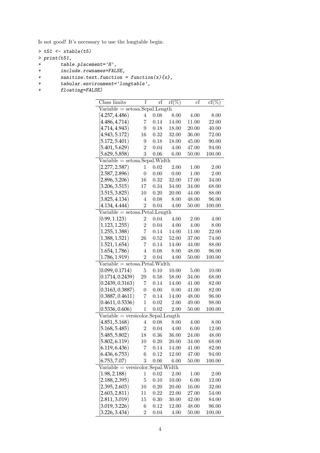Is not good! It's necessary to use the longtable begin.

```
> t51 \leftarrow xtable(t5)
> print(t51,+ table.placement='H',
```
+ include.rownames=FALSE,

```
+ sanitize.text.function = function(x){x},<br>+ tabular.environment='longtable',
```
- + tabular.environment='longtable',<br>+ floating=FALSE)
- floating=FALSE)

| Class limits                                                               | f              | rf   | $\overline{\mathrm{rf}}(\%)$ | $_{\rm cf}$ | $cf(\%)$ |  |  |  |
|----------------------------------------------------------------------------|----------------|------|------------------------------|-------------|----------|--|--|--|
| $\overline{\text{Variable}} = \text{setosa}.\text{Sepal}.\text{Length}$    |                |      |                              |             |          |  |  |  |
| [4.257, 4.486]                                                             | 4              | 0.08 | 8.00                         | 4.00        | 8.00     |  |  |  |
| [4.486, 4.714]                                                             | 7              | 0.14 | 14.00                        | 11.00       | 22.00    |  |  |  |
| [4.714, 4.943]                                                             | 9              | 0.18 | 18.00                        | 20.00       | 40.00    |  |  |  |
| [4.943, 5.172]                                                             | 16             | 0.32 | 32.00                        | 36.00       | 72.00    |  |  |  |
| [5.172, 5.401)                                                             | 9              | 0.18 | 18.00                        | 45.00       | 90.00    |  |  |  |
| [5.401, 5.629]                                                             | 2              | 0.04 | 4.00                         | 47.00       | 94.00    |  |  |  |
| [5.629, 5.858)                                                             | 3              | 0.06 | 6.00                         | 50.00       | 100.00   |  |  |  |
| $Variable = setosa.Sepal.Width$                                            |                |      |                              |             |          |  |  |  |
| [2.277, 2.587)                                                             | 1              | 0.02 | 2.00                         | 1.00        | 2.00     |  |  |  |
| [2.587, 2.896]                                                             | $\overline{0}$ | 0.00 | 0.00                         | 1.00        | 2.00     |  |  |  |
| [2.896, 3.206)                                                             | 16             | 0.32 | 32.00                        | 17.00       | 34.00    |  |  |  |
| [3.206, 3.515)                                                             | 17             | 0.34 | 34.00                        | 34.00       | 68.00    |  |  |  |
| [3.515, 3.825]                                                             | 10             | 0.20 | 20.00                        | 44.00       | 88.00    |  |  |  |
| [3.825, 4.134)                                                             | 4              | 0.08 | 8.00                         | 48.00       | 96.00    |  |  |  |
| [4.134, 4.444]                                                             | $\overline{2}$ | 0.04 | 4.00                         | 50.00       | 100.00   |  |  |  |
| $Variable = setosa.Petal.Length$                                           |                |      |                              |             |          |  |  |  |
| [0.99, 1.123)                                                              | $\overline{2}$ | 0.04 | 4.00                         | 2.00        | 4.00     |  |  |  |
| [1.123, 1.255]                                                             | $\overline{2}$ | 0.04 | 4.00                         | 4.00        | 8.00     |  |  |  |
| [1.255, 1.388]                                                             | 7              | 0.14 | 14.00                        | 11.00       | 22.00    |  |  |  |
| [1.388, 1.521]                                                             | 26             | 0.52 | 52.00                        | 37.00       | 74.00    |  |  |  |
| [1.521, 1.654]                                                             | 7              | 0.14 | 14.00                        | 44.00       | 88.00    |  |  |  |
| [1.654, 1.786]                                                             | 4              | 0.08 | 8.00                         | 48.00       | 96.00    |  |  |  |
| [1.786, 1.919]                                                             | $\overline{2}$ | 0.04 | 4.00                         | 50.00       | 100.00   |  |  |  |
| $Variable = setosa.Petal.Width$                                            |                |      |                              |             |          |  |  |  |
| [0.099, 0.1714)                                                            | 5              | 0.10 | 10.00                        | 5.00        | 10.00    |  |  |  |
| [0.1714, 0.2439)                                                           | 29             | 0.58 | 58.00                        | 34.00       | 68.00    |  |  |  |
| [0.2439, 0.3163)                                                           | 7              | 0.14 | 14.00                        | 41.00       | 82.00    |  |  |  |
| [0.3163, 0.3887)                                                           | 0              | 0.00 | 0.00                         | 41.00       | 82.00    |  |  |  |
| [0.3887, 0.4611)                                                           | 7              | 0.14 | 14.00                        | 48.00       | 96.00    |  |  |  |
| [0.4611, 0.5336)                                                           | 1              | 0.02 | 2.00                         | 49.00       | 98.00    |  |  |  |
| [0.5336, 0.606)                                                            | 1              | 0.02 | 2.00                         | 50.00       | 100.00   |  |  |  |
| $\overline{\text{Variable}} = \overline{\text{version}}$ olor.Sepal.Length |                |      |                              |             |          |  |  |  |
| [4.851, 5.168]                                                             | 4              | 0.08 | 8.00                         | 4.00        | 8.00     |  |  |  |
| [5.168, 5.485)                                                             | $\overline{2}$ | 0.04 | 4.00                         | 6.00        | 12.00    |  |  |  |
| [5.485, 5.802)                                                             | 18             | 0.36 | 36.00                        | 24.00       | 48.00    |  |  |  |
| [5.802, 6.119]                                                             | 10             | 0.20 | 20.00                        | 34.00       | 68.00    |  |  |  |
| [6.119, 6.436]                                                             | 7              | 0.14 | 14.00                        | 41.00       | 82.00    |  |  |  |
| [6.436, 6.753]                                                             | 6              | 0.12 | 12.00                        | 47.00       | 94.00    |  |  |  |
| [6.753, 7.07)                                                              | 3              | 0.06 | 6.00                         | 50.00       | 100.00   |  |  |  |
| $Variable = version. Sepal. Width$                                         |                |      |                              |             |          |  |  |  |
| [1.98, 2.188]                                                              | $\mathbf 1$    | 0.02 | 2.00                         | 1.00        | 2.00     |  |  |  |
| [2.188, 2.395]                                                             | $\overline{5}$ | 0.10 | 10.00                        | 6.00        | 12.00    |  |  |  |
| [2.395, 2.603]                                                             | 10             | 0.20 | 20.00                        | 16.00       | 32.00    |  |  |  |
| [2.603, 2.811)                                                             | 11             | 0.22 | 22.00                        | 27.00       | 54.00    |  |  |  |
| [2.811, 3.019]                                                             | 15             | 0.30 | 30.00                        | 42.00       | 84.00    |  |  |  |
| [3.019, 3.226]                                                             | 6              | 0.12 | 12.00                        | 48.00       | 96.00    |  |  |  |
| (3.226, 3.434)                                                             | $\overline{2}$ | 0.04 | 4.00                         | 50.00       | 100.00   |  |  |  |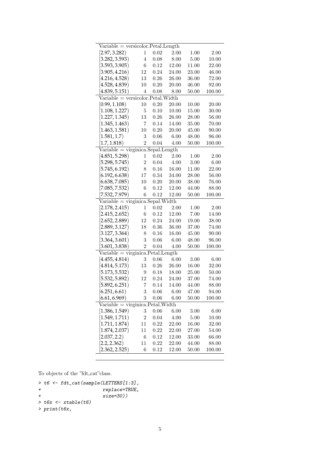| $Variable = version. Petal.Length$  |                |              |       |       |        |  |  |  |
|-------------------------------------|----------------|--------------|-------|-------|--------|--|--|--|
| [2.97, 3.282)                       | $\mathbf 1$    | 0.02         | 2.00  | 1.00  | 2.00   |  |  |  |
| [3.282, 3.593]                      | 4              | 0.08         | 8.00  | 5.00  | 10.00  |  |  |  |
| [3.593, 3.905]                      | 6              | 0.12         | 12.00 | 11.00 | 22.00  |  |  |  |
| [3.905, 4.216)                      | 12             | 0.24         | 24.00 | 23.00 | 46.00  |  |  |  |
| [4.216, 4.528]                      | 13             | 0.26         | 26.00 | 36.00 | 72.00  |  |  |  |
| [4.528, 4.839)                      | 10             | 0.20         | 20.00 | 46.00 | 92.00  |  |  |  |
| (4.839, 5.151)                      | 4              | 0.08         | 8.00  | 50.00 | 100.00 |  |  |  |
| $Variable = versionor.Petal.Width$  |                |              |       |       |        |  |  |  |
| [0.99, 1.108)                       | 10             | 0.20         | 20.00 | 10.00 | 20.00  |  |  |  |
| [1.108, 1.227]                      | 5              | 0.10         | 10.00 | 15.00 | 30.00  |  |  |  |
| [1.227, 1.345)                      | 13             | 0.26         | 26.00 | 28.00 | 56.00  |  |  |  |
| [1.345, 1.463]                      | 7              | 0.14         | 14.00 | 35.00 | 70.00  |  |  |  |
| [1.463, 1.581)                      | 10             | 0.20         | 20.00 | 45.00 | 90.00  |  |  |  |
| [1.581, 1.7]                        | 3              | 0.06         | 6.00  | 48.00 | 96.00  |  |  |  |
| [1.7, 1.818)                        | $\overline{2}$ | 0.04         | 4.00  | 50.00 | 100.00 |  |  |  |
| $Variable = virginica.Sepal.Length$ |                |              |       |       |        |  |  |  |
| [4.851, 5.298]                      | 1              | 0.02         | 2.00  | 1.00  | 2.00   |  |  |  |
| [5.298, 5.745)                      | $\overline{2}$ | 0.04         | 4.00  | 3.00  | 6.00   |  |  |  |
| [5.745, 6.192)                      | 8              | 0.16         | 16.00 | 11.00 | 22.00  |  |  |  |
| [6.192, 6.638]                      | 17             | 0.34         | 34.00 | 28.00 | 56.00  |  |  |  |
| [6.638, 7.085)                      | 10             | 0.20         | 20.00 | 38.00 | 76.00  |  |  |  |
| [7.085, 7.532)                      | 6              | 0.12         | 12.00 | 44.00 | 88.00  |  |  |  |
| (7.532, 7.979)                      | 6              | 0.12         | 12.00 | 50.00 | 100.00 |  |  |  |
| $Variable = virginica.Sepal.Width$  |                |              |       |       |        |  |  |  |
| [2.178, 2.415)                      | 1              | 0.02         | 2.00  | 1.00  | 2.00   |  |  |  |
| [2.415, 2.652)                      | 6              | 0.12         | 12.00 | 7.00  | 14.00  |  |  |  |
| [2.652, 2.889]                      | 12             | 0.24         | 24.00 | 19.00 | 38.00  |  |  |  |
| [2.889, 3.127]                      | 18             | 0.36         | 36.00 | 37.00 | 74.00  |  |  |  |
|                                     |                | 0.16         | 16.00 |       |        |  |  |  |
| [3.127, 3.364]                      | 8<br>3         |              |       | 45.00 | 90.00  |  |  |  |
| [3.364, 3.601]                      | $\overline{2}$ | 0.06         | 6.00  | 48.00 | 96.00  |  |  |  |
| [3.601, 3.838]                      |                | 0.04         | 4.00  | 50.00 | 100.00 |  |  |  |
| $Variable = virginica.Petal.Length$ |                |              | 6.00  |       |        |  |  |  |
| [4.455, 4.814]<br>[4.814, 5.173]    | 3              | 0.06<br>0.26 | 26.00 | 3.00  | 6.00   |  |  |  |
|                                     | 13             |              |       | 16.00 | 32.00  |  |  |  |
| (5.173, 5.532)<br>[5.532, 5.892]    | 9<br>12        | 0.18         | 18.00 | 25.00 | 50.00  |  |  |  |
|                                     |                | 0.24         | 24.00 | 37.00 | 74.00  |  |  |  |
| (5.892, 6.251)                      | 7              | 0.14         | 14.00 | 44.00 | 88.00  |  |  |  |
| [6.251, 6.61)                       | 3              | 0.06         | 6.00  | 47.00 | 94.00  |  |  |  |
| [6.61, 6.969]                       | 3              | 0.06         | 6.00  | 50.00 | 100.00 |  |  |  |
|                                     |                |              |       |       |        |  |  |  |
| [1.386, 1.549]                      | 3              | 0.06         | 6.00  | 3.00  | 6.00   |  |  |  |
| [1.549, 1.711]                      | $\overline{2}$ | 0.04         | 4.00  | 5.00  | 10.00  |  |  |  |
| [1.711, 1.874)                      | 11             | 0.22         | 22.00 | 16.00 | 32.00  |  |  |  |
| [1.874, 2.037]                      | 11             | 0.22         | 22.00 | 27.00 | 54.00  |  |  |  |
| [2.037, 2.2]                        | 6              | 0.12         | 12.00 | 33.00 | 66.00  |  |  |  |
| [2.2, 2.362]                        | 11             | 0.22         | 22.00 | 44.00 | 88.00  |  |  |  |
| (2.362, 2.525)                      | 6              | 0.12         | 12.00 | 50.00 | 100.00 |  |  |  |

To objects of the "fdt\_cat"class.

```
> t6 <- fdt_cat(sample(LETTERS[1:3],
+ replace=TRUE,
+ size=30))
> t6x < -xtable(t6)> print(t6x,
```